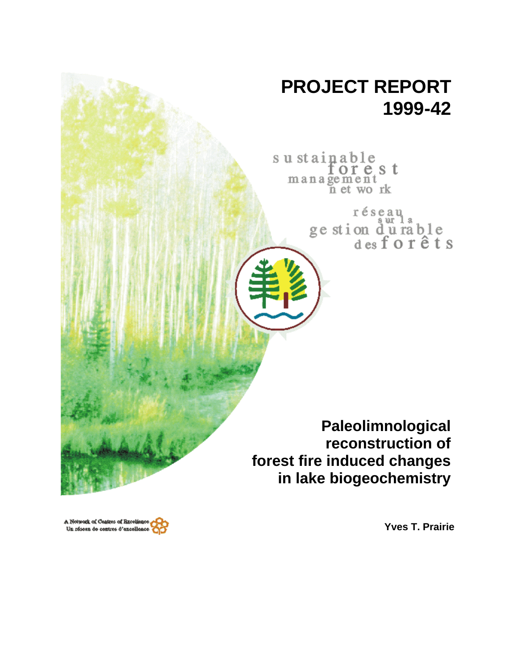

A Network of Centres of Breekland Un résesu de centres d'excellence

**Yves T. Prairie**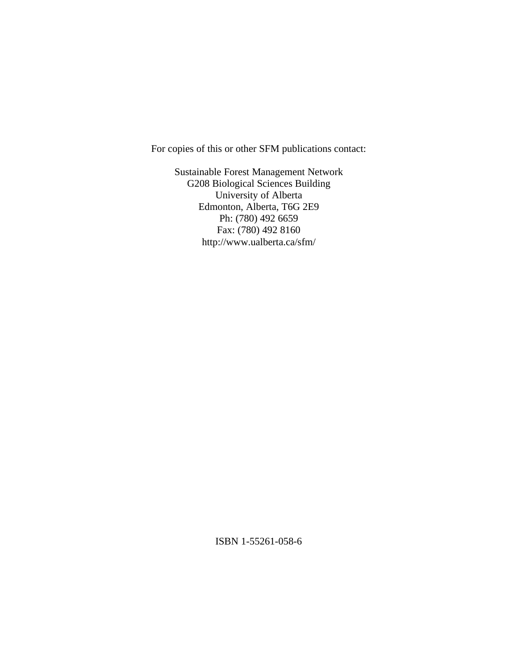For copies of this or other SFM publications contact:

Sustainable Forest Management Network G208 Biological Sciences Building University of Alberta Edmonton, Alberta, T6G 2E9 Ph: (780) 492 6659 Fax: (780) 492 8160 http://www.ualberta.ca/sfm/

ISBN 1-55261-058-6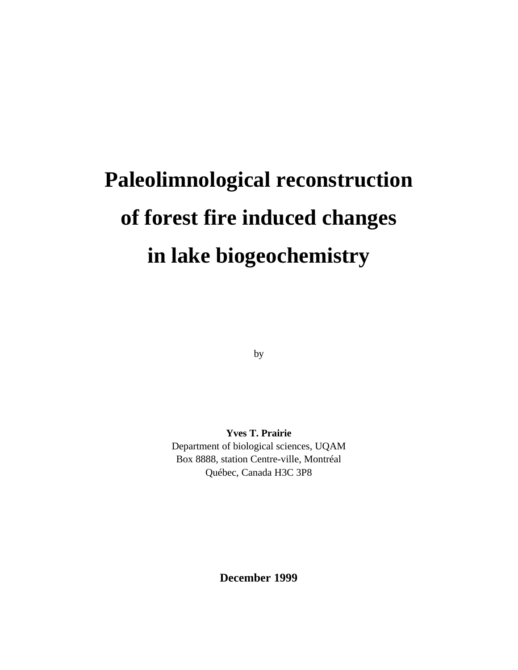# **Paleolimnological reconstruction of forest fire induced changes in lake biogeochemistry**

by

**Yves T. Prairie** Department of biological sciences, UQAM Box 8888, station Centre-ville, Montréal Québec, Canada H3C 3P8

**December 1999**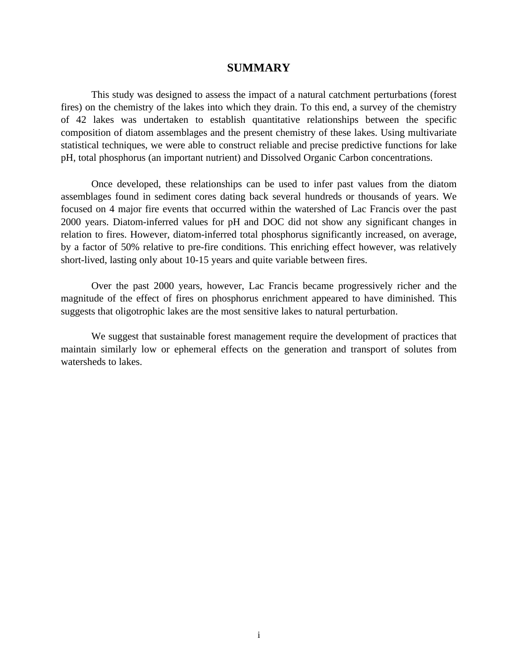## **SUMMARY**

This study was designed to assess the impact of a natural catchment perturbations (forest fires) on the chemistry of the lakes into which they drain. To this end, a survey of the chemistry of 42 lakes was undertaken to establish quantitative relationships between the specific composition of diatom assemblages and the present chemistry of these lakes. Using multivariate statistical techniques, we were able to construct reliable and precise predictive functions for lake pH, total phosphorus (an important nutrient) and Dissolved Organic Carbon concentrations.

Once developed, these relationships can be used to infer past values from the diatom assemblages found in sediment cores dating back several hundreds or thousands of years. We focused on 4 major fire events that occurred within the watershed of Lac Francis over the past 2000 years. Diatom-inferred values for pH and DOC did not show any significant changes in relation to fires. However, diatom-inferred total phosphorus significantly increased, on average, by a factor of 50% relative to pre-fire conditions. This enriching effect however, was relatively short-lived, lasting only about 10-15 years and quite variable between fires.

Over the past 2000 years, however, Lac Francis became progressively richer and the magnitude of the effect of fires on phosphorus enrichment appeared to have diminished. This suggests that oligotrophic lakes are the most sensitive lakes to natural perturbation.

We suggest that sustainable forest management require the development of practices that maintain similarly low or ephemeral effects on the generation and transport of solutes from watersheds to lakes.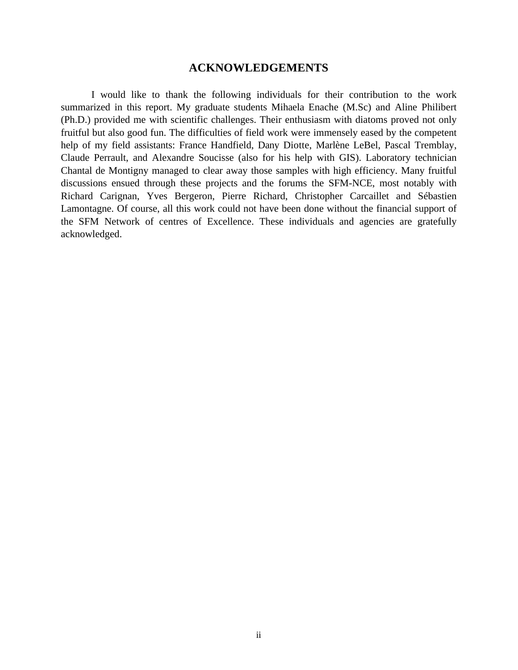## **ACKNOWLEDGEMENTS**

I would like to thank the following individuals for their contribution to the work summarized in this report. My graduate students Mihaela Enache (M.Sc) and Aline Philibert (Ph.D.) provided me with scientific challenges. Their enthusiasm with diatoms proved not only fruitful but also good fun. The difficulties of field work were immensely eased by the competent help of my field assistants: France Handfield, Dany Diotte, Marlène LeBel, Pascal Tremblay, Claude Perrault, and Alexandre Soucisse (also for his help with GIS). Laboratory technician Chantal de Montigny managed to clear away those samples with high efficiency. Many fruitful discussions ensued through these projects and the forums the SFM-NCE, most notably with Richard Carignan, Yves Bergeron, Pierre Richard, Christopher Carcaillet and Sébastien Lamontagne. Of course, all this work could not have been done without the financial support of the SFM Network of centres of Excellence. These individuals and agencies are gratefully acknowledged.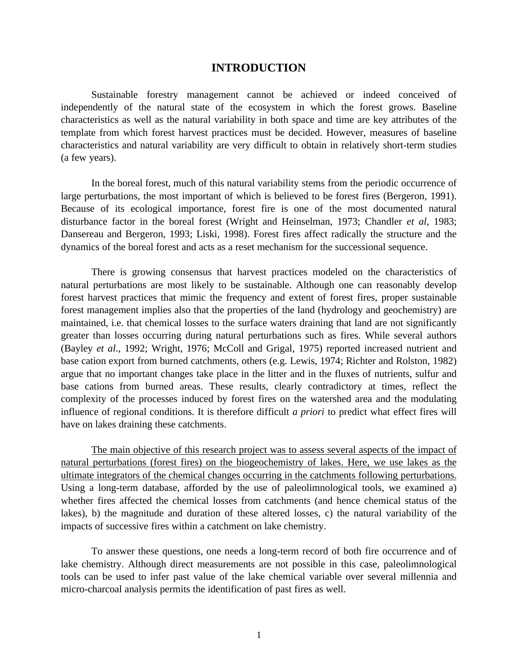## **INTRODUCTION**

Sustainable forestry management cannot be achieved or indeed conceived of independently of the natural state of the ecosystem in which the forest grows. Baseline characteristics as well as the natural variability in both space and time are key attributes of the template from which forest harvest practices must be decided. However, measures of baseline characteristics and natural variability are very difficult to obtain in relatively short-term studies (a few years).

In the boreal forest, much of this natural variability stems from the periodic occurrence of large perturbations, the most important of which is believed to be forest fires (Bergeron, 1991). Because of its ecological importance, forest fire is one of the most documented natural disturbance factor in the boreal forest (Wright and Heinselman, 1973; Chandler *et al*, 1983; Dansereau and Bergeron, 1993; Liski, 1998). Forest fires affect radically the structure and the dynamics of the boreal forest and acts as a reset mechanism for the successional sequence.

There is growing consensus that harvest practices modeled on the characteristics of natural perturbations are most likely to be sustainable. Although one can reasonably develop forest harvest practices that mimic the frequency and extent of forest fires, proper sustainable forest management implies also that the properties of the land (hydrology and geochemistry) are maintained, i.e. that chemical losses to the surface waters draining that land are not significantly greater than losses occurring during natural perturbations such as fires. While several authors (Bayley *et al*., 1992; Wright, 1976; McColl and Grigal, 1975) reported increased nutrient and base cation export from burned catchments, others (e.g. Lewis, 1974; Richter and Rolston, 1982) argue that no important changes take place in the litter and in the fluxes of nutrients, sulfur and base cations from burned areas. These results, clearly contradictory at times, reflect the complexity of the processes induced by forest fires on the watershed area and the modulating influence of regional conditions. It is therefore difficult *a priori* to predict what effect fires will have on lakes draining these catchments.

The main objective of this research project was to assess several aspects of the impact of natural perturbations (forest fires) on the biogeochemistry of lakes. Here, we use lakes as the ultimate integrators of the chemical changes occurring in the catchments following perturbations. Using a long-term database, afforded by the use of paleolimnological tools, we examined a) whether fires affected the chemical losses from catchments (and hence chemical status of the lakes), b) the magnitude and duration of these altered losses, c) the natural variability of the impacts of successive fires within a catchment on lake chemistry.

To answer these questions, one needs a long-term record of both fire occurrence and of lake chemistry. Although direct measurements are not possible in this case, paleolimnological tools can be used to infer past value of the lake chemical variable over several millennia and micro-charcoal analysis permits the identification of past fires as well.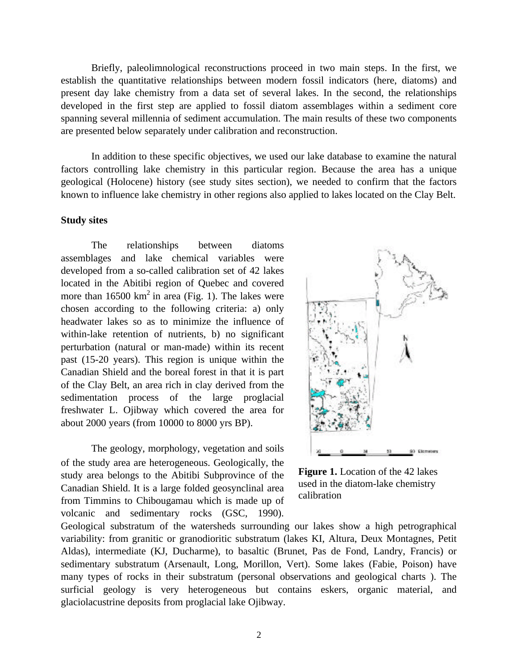Briefly, paleolimnological reconstructions proceed in two main steps. In the first, we establish the quantitative relationships between modern fossil indicators (here, diatoms) and present day lake chemistry from a data set of several lakes. In the second, the relationships developed in the first step are applied to fossil diatom assemblages within a sediment core spanning several millennia of sediment accumulation. The main results of these two components are presented below separately under calibration and reconstruction.

In addition to these specific objectives, we used our lake database to examine the natural factors controlling lake chemistry in this particular region. Because the area has a unique geological (Holocene) history (see study sites section), we needed to confirm that the factors known to influence lake chemistry in other regions also applied to lakes located on the Clay Belt.

#### **Study sites**

The relationships between diatoms assemblages and lake chemical variables were developed from a so-called calibration set of 42 lakes located in the Abitibi region of Quebec and covered more than  $16500 \text{ km}^2$  in area (Fig. 1). The lakes were chosen according to the following criteria: a) only headwater lakes so as to minimize the influence of within-lake retention of nutrients, b) no significant perturbation (natural or man-made) within its recent past (15-20 years). This region is unique within the Canadian Shield and the boreal forest in that it is part of the Clay Belt, an area rich in clay derived from the sedimentation process of the large proglacial freshwater L. Ojibway which covered the area for about 2000 years (from 10000 to 8000 yrs BP).

The geology, morphology, vegetation and soils of the study area are heterogeneous. Geologically, the study area belongs to the Abitibi Subprovince of the Canadian Shield. It is a large folded geosynclinal area from Timmins to Chibougamau which is made up of volcanic and sedimentary rocks (GSC, 1990).



**Figure 1.** Location of the 42 lakes used in the diatom-lake chemistry calibration

Geological substratum of the watersheds surrounding our lakes show a high petrographical variability: from granitic or granodioritic substratum (lakes KI, Altura, Deux Montagnes, Petit Aldas), intermediate (KJ, Ducharme), to basaltic (Brunet, Pas de Fond, Landry, Francis) or sedimentary substratum (Arsenault, Long, Morillon, Vert). Some lakes (Fabie, Poison) have many types of rocks in their substratum (personal observations and geological charts ). The surficial geology is very heterogeneous but contains eskers, organic material, and glaciolacustrine deposits from proglacial lake Ojibway.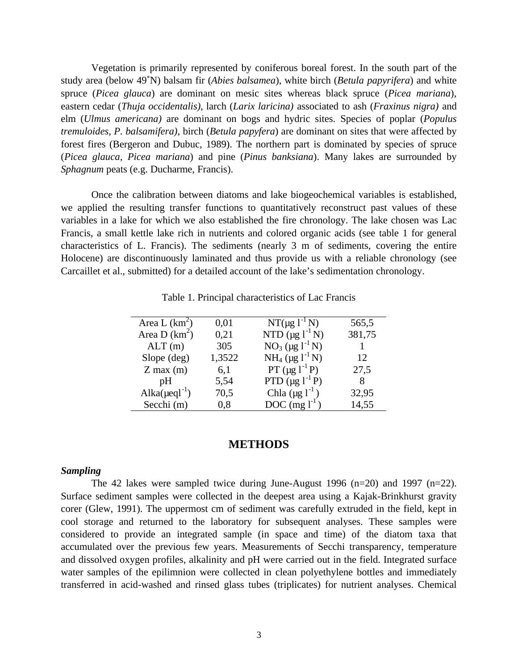Vegetation is primarily represented by coniferous boreal forest. In the south part of the study area (below 49°N) balsam fir (*Abies balsamea*), white birch (*Betula papyrifera*) and white spruce (*Picea glauca*) are dominant on mesic sites whereas black spruce (*Picea mariana*), eastern cedar (*Thuja occidentalis)*, larch (*Larix laricina)* associated to ash (*Fraxinus nigra)* and elm (*Ulmus americana)* are dominant on bogs and hydric sites. Species of poplar (*Populus tremuloides, P. balsamifera),* birch (*Betula papyfera*) are dominant on sites that were affected by forest fires (Bergeron and Dubuc, 1989). The northern part is dominated by species of spruce (*Picea glauca, Picea mariana*) and pine (*Pinus banksiana*). Many lakes are surrounded by *Sphagnum* peats (e.g. Ducharme, Francis).

Once the calibration between diatoms and lake biogeochemical variables is established, we applied the resulting transfer functions to quantitatively reconstruct past values of these variables in a lake for which we also established the fire chronology. The lake chosen was Lac Francis, a small kettle lake rich in nutrients and colored organic acids (see table 1 for general characteristics of L. Francis). The sediments (nearly 3 m of sediments, covering the entire Holocene) are discontinuously laminated and thus provide us with a reliable chronology (see Carcaillet et al., submitted) for a detailed account of the lake's sedimentation chronology.

| Area L $(km^2)$                 | 0,01   | $NT(\mu g l^{-1} N)$                         | 565,5  |
|---------------------------------|--------|----------------------------------------------|--------|
| Area D $(km^2)$                 | 0,21   | NTD $(\mu g l^{-1} N)$                       | 381,75 |
| ALT(m)                          | 305    | $NO_3$ (µg $1^{-1}N$ )                       |        |
| Slope $(\text{deg})$            | 1,3522 | NH <sub>4</sub> ( $\mu$ g l <sup>-1</sup> N) | 12     |
| $Z$ max $(m)$                   | 6,1    | PT $(\mu g l^{-1} P)$                        | 27,5   |
| pH                              | 5,54   | PTD $(\mu g l^{-1} P)$                       | 8      |
| Alka( $\mu$ eql <sup>-1</sup> ) | 70,5   | Chla $(\mu g l^{-1})$                        | 32,95  |
| Secchi (m)                      | 0,8    | $DOC$ (mg $l^{-1}$ )                         | 14,55  |

Table 1. Principal characteristics of Lac Francis

# **METHODS**

#### *Sampling*

The 42 lakes were sampled twice during June-August 1996  $(n=20)$  and 1997  $(n=22)$ . Surface sediment samples were collected in the deepest area using a Kajak-Brinkhurst gravity corer (Glew, 1991). The uppermost cm of sediment was carefully extruded in the field, kept in cool storage and returned to the laboratory for subsequent analyses. These samples were considered to provide an integrated sample (in space and time) of the diatom taxa that accumulated over the previous few years. Measurements of Secchi transparency, temperature and dissolved oxygen profiles, alkalinity and pH were carried out in the field. Integrated surface water samples of the epilimnion were collected in clean polyethylene bottles and immediately transferred in acid-washed and rinsed glass tubes (triplicates) for nutrient analyses. Chemical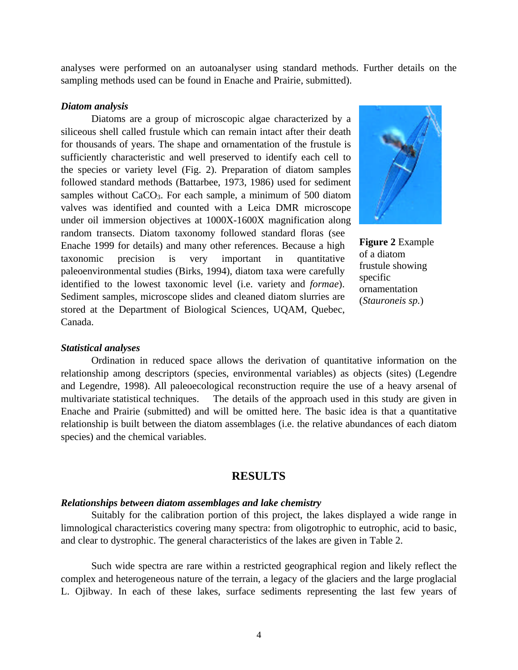analyses were performed on an autoanalyser using standard methods. Further details on the sampling methods used can be found in Enache and Prairie, submitted).

#### *Diatom analysis*

Diatoms are a group of microscopic algae characterized by a siliceous shell called frustule which can remain intact after their death for thousands of years. The shape and ornamentation of the frustule is sufficiently characteristic and well preserved to identify each cell to the species or variety level (Fig. 2). Preparation of diatom samples followed standard methods (Battarbee, 1973, 1986) used for sediment samples without CaCO<sub>3</sub>. For each sample, a minimum of 500 diatom valves was identified and counted with a Leica DMR microscope under oil immersion objectives at 1000X-1600X magnification along random transects. Diatom taxonomy followed standard floras (see Enache 1999 for details) and many other references. Because a high taxonomic precision is very important in quantitative paleoenvironmental studies (Birks, 1994), diatom taxa were carefully identified to the lowest taxonomic level (i.e. variety and *formae*). Sediment samples, microscope slides and cleaned diatom slurries are stored at the Department of Biological Sciences, UQAM, Quebec, Canada.



**Figure 2** Example of a diatom frustule showing specific ornamentation (*Stauroneis sp.*)

#### *Statistical analyses*

Ordination in reduced space allows the derivation of quantitative information on the relationship among descriptors (species, environmental variables) as objects (sites) (Legendre and Legendre, 1998). All paleoecological reconstruction require the use of a heavy arsenal of multivariate statistical techniques. The details of the approach used in this study are given in Enache and Prairie (submitted) and will be omitted here. The basic idea is that a quantitative relationship is built between the diatom assemblages (i.e. the relative abundances of each diatom species) and the chemical variables.

## **RESULTS**

#### *Relationships between diatom assemblages and lake chemistry*

Suitably for the calibration portion of this project, the lakes displayed a wide range in limnological characteristics covering many spectra: from oligotrophic to eutrophic, acid to basic, and clear to dystrophic. The general characteristics of the lakes are given in Table 2.

Such wide spectra are rare within a restricted geographical region and likely reflect the complex and heterogeneous nature of the terrain, a legacy of the glaciers and the large proglacial L. Ojibway. In each of these lakes, surface sediments representing the last few years of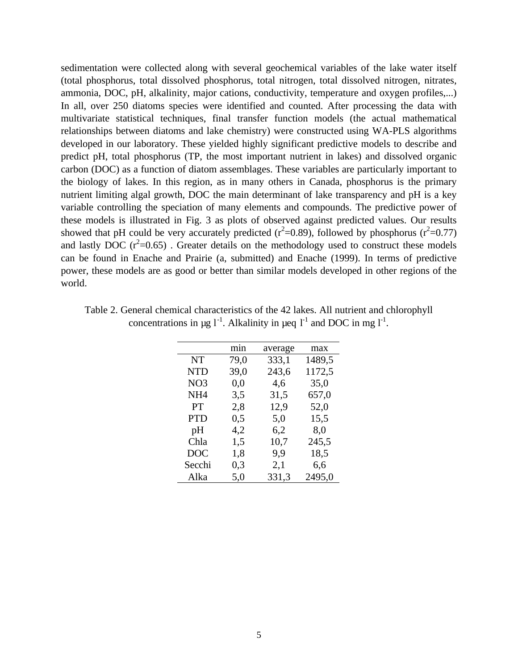sedimentation were collected along with several geochemical variables of the lake water itself (total phosphorus, total dissolved phosphorus, total nitrogen, total dissolved nitrogen, nitrates, ammonia, DOC, pH, alkalinity, major cations, conductivity, temperature and oxygen profiles,...) In all, over 250 diatoms species were identified and counted. After processing the data with multivariate statistical techniques, final transfer function models (the actual mathematical relationships between diatoms and lake chemistry) were constructed using WA-PLS algorithms developed in our laboratory. These yielded highly significant predictive models to describe and predict pH, total phosphorus (TP, the most important nutrient in lakes) and dissolved organic carbon (DOC) as a function of diatom assemblages. These variables are particularly important to the biology of lakes. In this region, as in many others in Canada, phosphorus is the primary nutrient limiting algal growth, DOC the main determinant of lake transparency and pH is a key variable controlling the speciation of many elements and compounds. The predictive power of these models is illustrated in Fig. 3 as plots of observed against predicted values. Our results showed that pH could be very accurately predicted ( $r^2$ =0.89), followed by phosphorus ( $r^2$ =0.77) and lastly DOC  $(r^2=0.65)$ . Greater details on the methodology used to construct these models can be found in Enache and Prairie (a, submitted) and Enache (1999). In terms of predictive power, these models are as good or better than similar models developed in other regions of the world.

|                 | min  | average | max    |
|-----------------|------|---------|--------|
| <b>NT</b>       | 79,0 | 333,1   | 1489,5 |
| <b>NTD</b>      | 39,0 | 243,6   | 1172,5 |
| NO <sub>3</sub> | 0,0  | 4,6     | 35,0   |
| NH <sub>4</sub> | 3,5  | 31,5    | 657,0  |
| PT              | 2,8  | 12,9    | 52,0   |
| <b>PTD</b>      | 0,5  | 5,0     | 15,5   |
| pH              | 4,2  | 6,2     | 8,0    |
| Chla            | 1,5  | 10,7    | 245,5  |
| <b>DOC</b>      | 1,8  | 9,9     | 18,5   |
| Secchi          | 0,3  | 2,1     | 6,6    |
| Alka            | 5,0  | 331,3   | 2495,0 |

Table 2. General chemical characteristics of the 42 lakes. All nutrient and chlorophyll concentrations in  $\mu$ g l<sup>-1</sup>. Alkalinity in  $\mu$ eq l<sup>-1</sup> and DOC in mg l<sup>-1</sup>.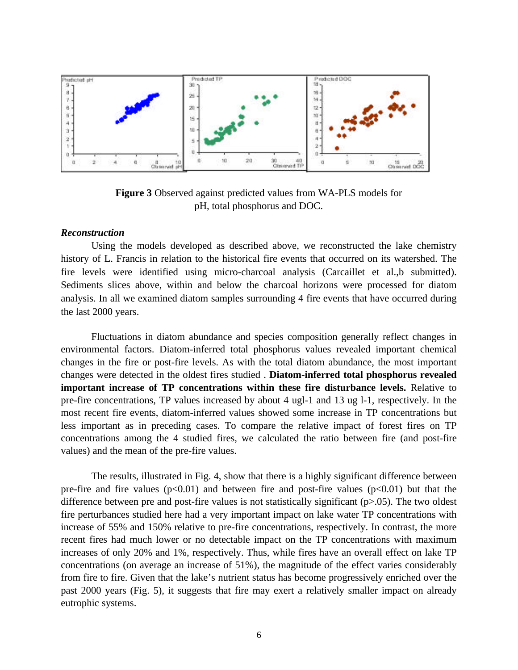

**Figure 3** Observed against predicted values from WA-PLS models for pH, total phosphorus and DOC.

#### *Reconstruction*

Using the models developed as described above, we reconstructed the lake chemistry history of L. Francis in relation to the historical fire events that occurred on its watershed. The fire levels were identified using micro-charcoal analysis (Carcaillet et al.,b submitted). Sediments slices above, within and below the charcoal horizons were processed for diatom analysis. In all we examined diatom samples surrounding 4 fire events that have occurred during the last 2000 years.

Fluctuations in diatom abundance and species composition generally reflect changes in environmental factors. Diatom-inferred total phosphorus values revealed important chemical changes in the fire or post-fire levels. As with the total diatom abundance, the most important changes were detected in the oldest fires studied . **Diatom-inferred total phosphorus revealed important increase of TP concentrations within these fire disturbance levels.** Relative to pre-fire concentrations, TP values increased by about 4 ugl-1 and 13 ug l-1, respectively. In the most recent fire events, diatom-inferred values showed some increase in TP concentrations but less important as in preceding cases. To compare the relative impact of forest fires on TP concentrations among the 4 studied fires, we calculated the ratio between fire (and post-fire values) and the mean of the pre-fire values.

The results, illustrated in Fig. 4, show that there is a highly significant difference between pre-fire and fire values  $(p<0.01)$  and between fire and post-fire values  $(p<0.01)$  but that the difference between pre and post-fire values is not statistically significant (p>.05). The two oldest fire perturbances studied here had a very important impact on lake water TP concentrations with increase of 55% and 150% relative to pre-fire concentrations, respectively. In contrast, the more recent fires had much lower or no detectable impact on the TP concentrations with maximum increases of only 20% and 1%, respectively. Thus, while fires have an overall effect on lake TP concentrations (on average an increase of 51%), the magnitude of the effect varies considerably from fire to fire. Given that the lake's nutrient status has become progressively enriched over the past 2000 years (Fig. 5), it suggests that fire may exert a relatively smaller impact on already eutrophic systems.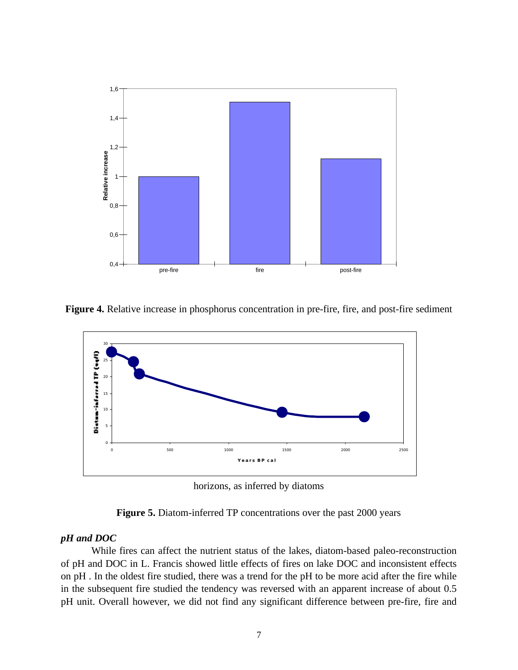

**Figure 4.** Relative increase in phosphorus concentration in pre-fire, fire, and post-fire sediment



horizons, as inferred by diatoms

**Figure 5.** Diatom-inferred TP concentrations over the past 2000 years

#### *pH and DOC*

While fires can affect the nutrient status of the lakes, diatom-based paleo-reconstruction of pH and DOC in L. Francis showed little effects of fires on lake DOC and inconsistent effects on pH . In the oldest fire studied, there was a trend for the pH to be more acid after the fire while in the subsequent fire studied the tendency was reversed with an apparent increase of about 0.5 pH unit. Overall however, we did not find any significant difference between pre-fire, fire and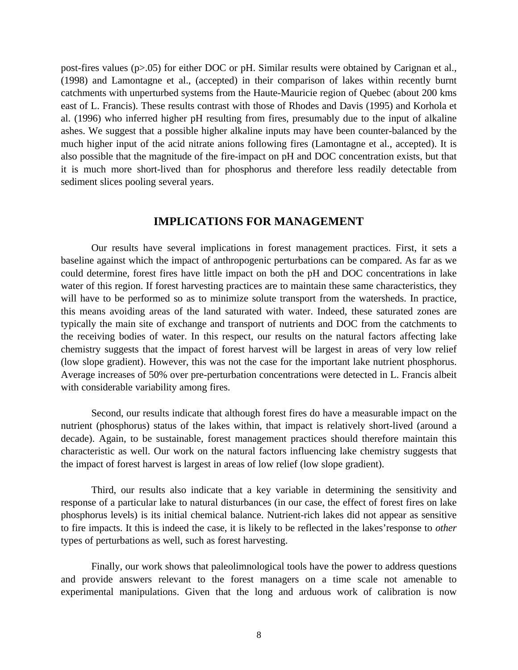post-fires values (p>.05) for either DOC or pH. Similar results were obtained by Carignan et al., (1998) and Lamontagne et al., (accepted) in their comparison of lakes within recently burnt catchments with unperturbed systems from the Haute-Mauricie region of Quebec (about 200 kms east of L. Francis). These results contrast with those of Rhodes and Davis (1995) and Korhola et al. (1996) who inferred higher pH resulting from fires, presumably due to the input of alkaline ashes. We suggest that a possible higher alkaline inputs may have been counter-balanced by the much higher input of the acid nitrate anions following fires (Lamontagne et al., accepted). It is also possible that the magnitude of the fire-impact on pH and DOC concentration exists, but that it is much more short-lived than for phosphorus and therefore less readily detectable from sediment slices pooling several years.

# **IMPLICATIONS FOR MANAGEMENT**

Our results have several implications in forest management practices. First, it sets a baseline against which the impact of anthropogenic perturbations can be compared. As far as we could determine, forest fires have little impact on both the pH and DOC concentrations in lake water of this region. If forest harvesting practices are to maintain these same characteristics, they will have to be performed so as to minimize solute transport from the watersheds. In practice, this means avoiding areas of the land saturated with water. Indeed, these saturated zones are typically the main site of exchange and transport of nutrients and DOC from the catchments to the receiving bodies of water. In this respect, our results on the natural factors affecting lake chemistry suggests that the impact of forest harvest will be largest in areas of very low relief (low slope gradient). However, this was not the case for the important lake nutrient phosphorus. Average increases of 50% over pre-perturbation concentrations were detected in L. Francis albeit with considerable variability among fires.

Second, our results indicate that although forest fires do have a measurable impact on the nutrient (phosphorus) status of the lakes within, that impact is relatively short-lived (around a decade). Again, to be sustainable, forest management practices should therefore maintain this characteristic as well. Our work on the natural factors influencing lake chemistry suggests that the impact of forest harvest is largest in areas of low relief (low slope gradient).

Third, our results also indicate that a key variable in determining the sensitivity and response of a particular lake to natural disturbances (in our case, the effect of forest fires on lake phosphorus levels) is its initial chemical balance. Nutrient-rich lakes did not appear as sensitive to fire impacts. It this is indeed the case, it is likely to be reflected in the lakes'response to *other* types of perturbations as well, such as forest harvesting.

Finally, our work shows that paleolimnological tools have the power to address questions and provide answers relevant to the forest managers on a time scale not amenable to experimental manipulations. Given that the long and arduous work of calibration is now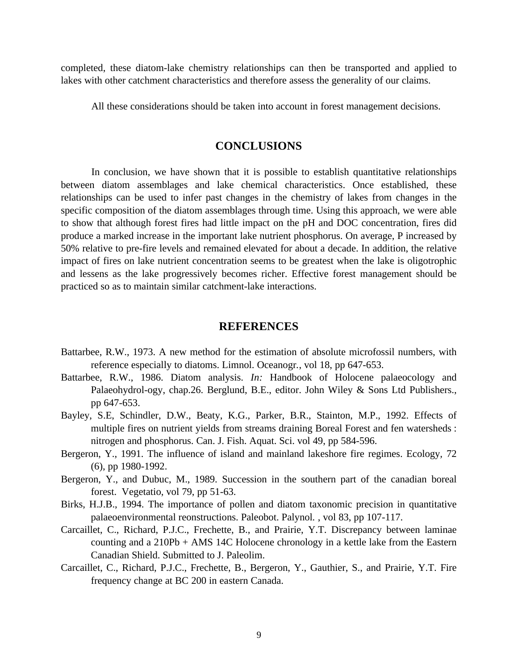completed, these diatom-lake chemistry relationships can then be transported and applied to lakes with other catchment characteristics and therefore assess the generality of our claims.

All these considerations should be taken into account in forest management decisions.

# **CONCLUSIONS**

In conclusion, we have shown that it is possible to establish quantitative relationships between diatom assemblages and lake chemical characteristics. Once established, these relationships can be used to infer past changes in the chemistry of lakes from changes in the specific composition of the diatom assemblages through time. Using this approach, we were able to show that although forest fires had little impact on the pH and DOC concentration, fires did produce a marked increase in the important lake nutrient phosphorus. On average, P increased by 50% relative to pre-fire levels and remained elevated for about a decade. In addition, the relative impact of fires on lake nutrient concentration seems to be greatest when the lake is oligotrophic and lessens as the lake progressively becomes richer. Effective forest management should be practiced so as to maintain similar catchment-lake interactions.

# **REFERENCES**

- Battarbee, R.W., 1973. A new method for the estimation of absolute microfossil numbers, with reference especially to diatoms. Limnol. Oceanogr*.*, vol 18, pp 647-653.
- Battarbee, R.W., 1986. Diatom analysis. *In:* Handbook of Holocene palaeocology and Palaeohydrol-ogy, chap.26. Berglund, B.E., editor. John Wiley & Sons Ltd Publishers., pp 647-653.
- Bayley, S.E, Schindler, D.W., Beaty, K.G., Parker, B.R., Stainton, M.P., 1992. Effects of multiple fires on nutrient yields from streams draining Boreal Forest and fen watersheds : nitrogen and phosphorus. Can. J. Fish. Aquat. Sci. vol 49, pp 584-596.
- Bergeron, Y., 1991. The influence of island and mainland lakeshore fire regimes. Ecology*,* 72 (6), pp 1980-1992.
- Bergeron, Y., and Dubuc, M., 1989. Succession in the southern part of the canadian boreal forest. Vegetatio, vol 79, pp 51-63.
- Birks, H.J.B., 1994. The importance of pollen and diatom taxonomic precision in quantitative palaeoenvironmental reonstructions. Paleobot. Palynol*.* , vol 83, pp 107-117.
- Carcaillet, C., Richard, P.J.C., Frechette, B., and Prairie, Y.T. Discrepancy between laminae counting and a 210Pb + AMS 14C Holocene chronology in a kettle lake from the Eastern Canadian Shield. Submitted to J. Paleolim.
- Carcaillet, C., Richard, P.J.C., Frechette, B., Bergeron, Y., Gauthier, S., and Prairie, Y.T. Fire frequency change at BC 200 in eastern Canada.